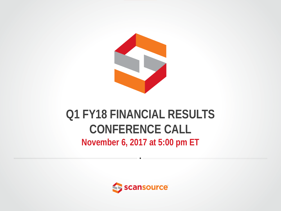

### **Q1 FY18 FINANCIAL RESULTS CONFERENCE CALL November 6, 2017 at 5:00 pm ET**

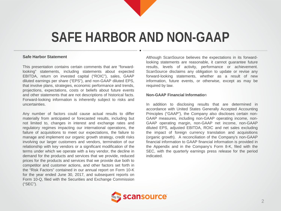## **SAFE HARBOR AND NON-GAAP**

#### **Safe Harbor Statement**

This presentation contains certain comments that are "forwardlooking" statements, including statements about expected EBITDA, return on invested capital ("ROIC"), sales, GAAP diluted earnings per share ("EPS"), and non-GAAP diluted EPS, that involve plans, strategies, economic performance and trends, projections, expectations, costs or beliefs about future events and other statements that are not descriptions of historical facts. Forward-looking information is inherently subject to risks and uncertainties.

Any number of factors could cause actual results to differ materially from anticipated or forecasted results, including but not limited to, changes in interest and exchange rates and regulatory regimes impacting our international operations, the failure of acquisitions to meet our expectations, the failure to manage and implement our organic growth strategy, credit risks involving our larger customers and vendors, termination of our relationship with key vendors or a significant modification of the terms under which we operate with a key vendor, the decline in demand for the products and services that we provide, reduced prices for the products and services that we provide due both to competitor and customer actions, and other factors set forth in the "Risk Factors" contained in our annual report on Form 10-K for the year ended June 30, 2017, and subsequent reports on Form 10-Q, filed with the Securities and Exchange Commission ("SEC").

Although ScanSource believes the expectations in its forwardlooking statements are reasonable, it cannot guarantee future results, levels of activity, performance or achievement. ScanSource disclaims any obligation to update or revise any forward-looking statements, whether as a result of new information, future events, or otherwise, except as may be required by law.

#### **Non-GAAP Financial Informatio**n

In addition to disclosing results that are determined in accordance with United States Generally Accepted Accounting Principles ("GAAP"), the Company also discloses certain non-GAAP measures, including non-GAAP operating income, non-GAAP operating margin, non-GAAP net income, non-GAAP diluted EPS, adjusted EBITDA, ROIC and net sales excluding the impact of foreign currency translation and acquisitions (organic growth). A reconciliation of the Company's non-GAAP financial information to GAAP financial information is provided in the Appendix and in the Company's Form 8-K, filed with the SEC, with the quarterly earnings press release for the period indicated.

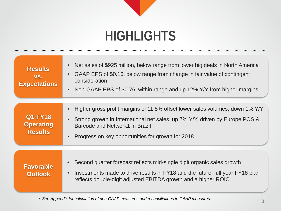# **HIGHLIGHTS**

| <b>Results</b><br>VS.<br><b>Expectations</b>         | Net sales of \$925 million, below range from lower big deals in North America<br>GAAP EPS of \$0.16, below range from change in fair value of contingent<br>consideration<br>Non-GAAP EPS of \$0.76, within range and up 12% Y/Y from higher margins |
|------------------------------------------------------|------------------------------------------------------------------------------------------------------------------------------------------------------------------------------------------------------------------------------------------------------|
| <b>Q1 FY18</b><br><b>Operating</b><br><b>Results</b> | Higher gross profit margins of 11.5% offset lower sales volumes, down 1% Y/Y<br>Strong growth in International net sales, up 7% Y/Y, driven by Europe POS &<br>Barcode and Network1 in Brazil<br>Progress on key opportunities for growth for 2018   |
| <b>Favorable</b><br><b>Outlook</b>                   | Second quarter forecast reflects mid-single digit organic sales growth<br>Investments made to drive results in FY18 and the future; full year FY18 plan<br>reflects double-digit adjusted EBITDA growth and a higher ROIC                            |

*\* See Appendix for calculation of non-GAAP measures and reconciliations to GAAP measures.* <sup>3</sup>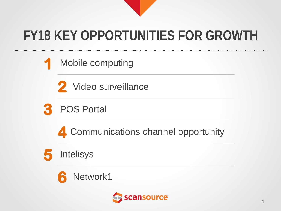

# **FY18 KEY OPPORTUNITIES FOR GROWTH**

Mobile computing

2 Video surveillance



4 Communications channel opportunity





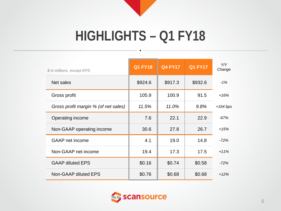

# **HIGHLIGHTS – Q1 FY18**

| \$ in millions, except EPS           | <b>Q1 FY18</b> | <b>Q4 FY17</b> | <b>Q1 FY17</b> | Y/Y<br>Change |
|--------------------------------------|----------------|----------------|----------------|---------------|
| Net sales                            | \$924.6        | \$917.3        | \$932.6        | $-1%$         |
| Gross profit                         | 105.9          | 100.9          | 91.5           | $+16%$        |
| Gross profit margin % (of net sales) | 11.5%          | 11.0%          | 9.8%           | $+164$ bps    |
| Operating income                     | 7.6            | 22.1           | 22.9           | $-67%$        |
| Non-GAAP operating income            | 30.6           | 27.8           | 26.7           | $+15%$        |
| <b>GAAP</b> net income               | 4.1            | 19.0           | 14.8           | $-72%$        |
| Non-GAAP net income                  | 19.4           | 17.3           | 17.5           | $+11%$        |
| <b>GAAP diluted EPS</b>              | \$0.16         | \$0.74         | \$0.58         | $-72%$        |
| Non-GAAP diluted EPS                 | \$0.76         | \$0.68         | \$0.68         | $+12%$        |

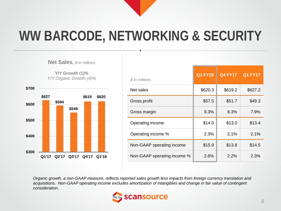

# **WW BARCODE, NETWORKING & SECURITY**

**Net Sales***, \$ in millions*

**Y/Y Growth (1)%** *Y/Y Organic Growth (4)%*



| \$ in millions              | <b>Q1 FY18</b> | <b>Q4 FY17</b> | <b>Q1 FY17</b> |
|-----------------------------|----------------|----------------|----------------|
| Net sales                   | \$620.3        | \$619.2        | \$627.2        |
| Gross profit                | \$57.5         | \$51.7         | \$49.3         |
| Gross margin                | 9.3%           | 8.3%           | 7.9%           |
| Operating income            | \$14.0         | \$13.0         | \$13.4         |
| Operating income %          | 2.3%           | 2.1%           | 2.1%           |
| Non-GAAP operating income   | \$15.9         | \$13.8         | \$14.5         |
| Non-GAAP operating income % | 2.6%           | 2.2%           | 2.3%           |

*Organic growth, a non-GAAP measure, reflects reported sales growth less impacts from foreign currency translation and acquisitions. Non-GAAP operating income excludes amortization of intangibles and change in fair value of contingent consideration.*

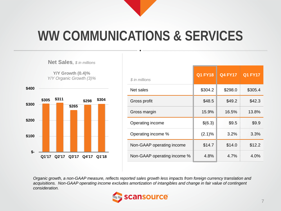

# **WW COMMUNICATIONS & SERVICES**

**Net Sales***, \$ in millions*

**Y/Y Growth (0.4)%** *Y/Y Organic Growth (3)%*



| \$ in millions              | <b>Q1 FY18</b> | <b>Q4 FY17</b> | <b>Q1 FY17</b> |
|-----------------------------|----------------|----------------|----------------|
| Net sales                   | \$304.2        | \$298.0        | \$305.4        |
| Gross profit                | \$48.5         | \$49.2         | \$42.3         |
| Gross margin                | 15.9%          | 16.5%          | 13.8%          |
| Operating income            | \$(6.3)        | \$9.5          | \$9.9          |
| Operating income %          | (2.1)%         | 3.2%           | 3.3%           |
| Non-GAAP operating income   | \$14.7         | \$14.0         | \$12.2         |
| Non-GAAP operating income % | 4.8%           | 4.7%           | 4.0%           |

*Organic growth, a non-GAAP measure, reflects reported sales growth less impacts from foreign currency translation and acquisitions. Non-GAAP operating income excludes amortization of intangibles and change in fair value of contingent consideration.*

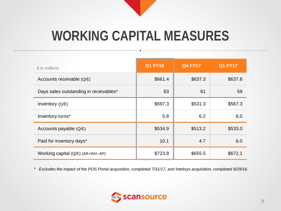

# **WORKING CAPITAL MEASURES**

| \$ in millions                         | <b>Q1 FY18</b> | <b>Q4 FY17</b> | <b>Q1 FY17</b> |
|----------------------------------------|----------------|----------------|----------------|
| Accounts receivable (Q/E)              | \$661.4        | \$637.3        | \$637.8        |
| Days sales outstanding in receivables* | 63             | 61             | 59             |
| Inventory (Q/E)                        | \$597.3        | \$531.3        | \$567.3        |
| Inventory turns*                       | 5.8            | 6.2            | 6.0            |
| Accounts payable (Q/E)                 | \$534.9        | \$513.2        | \$533.0        |
| Paid for inventory days*               | 10.1           | 4.7            | 6.0            |
| Working capital (Q/E) (AR+INV-AP)      | \$723.8        | \$655.5        | \$672.1        |

*\* Excludes the impact of the POS Portal acquisition, completed 7/31/17, and Intelisys acquisition, completed 8/29/16.*

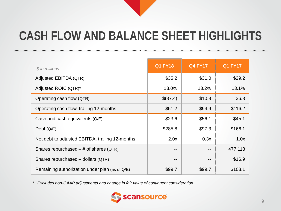### **CASH FLOW AND BALANCE SHEET HIGHLIGHTS**

| $$$ in millions                                   | <b>Q1 FY18</b> | <b>Q4 FY17</b> | <b>Q1 FY17</b> |
|---------------------------------------------------|----------------|----------------|----------------|
| Adjusted EBITDA (QTR)                             | \$35.2         | \$31.0         | \$29.2         |
| Adjusted ROIC (QTR)*                              | 13.0%          | 13.2%          | 13.1%          |
| Operating cash flow (QTR)                         | \$(37.4)       | \$10.8         | \$6.3          |
| Operating cash flow, trailing 12-months           | \$51.2         | \$94.9         | \$116.2        |
| Cash and cash equivalents $(Q/E)$                 | \$23.6         | \$56.1         | \$45.1         |
| Debt $(Q/E)$                                      | \$285.8        | \$97.3         | \$166.1        |
| Net debt to adjusted EBITDA, trailing 12-months   | 2.0x           | 0.3x           | 1.0x           |
| Shares repurchased $-$ # of shares (QTR)          | --             |                | 477,113        |
| Shares repurchased – dollars (QTR)                | --             | $- -$          | \$16.9         |
| Remaining authorization under plan (as of $Q/E$ ) | \$99.7         | \$99.7         | \$103.1        |

*\* Excludes non-GAAP adjustments and change in fair value of contingent consideration.*

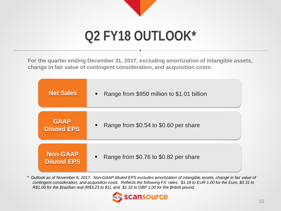

# **Q2 FY18 OUTLOOK\***

**For the quarter ending December 31, 2017, excluding amortization of intangible assets, change in fair value of contingent consideration, and acquisition costs:**

| <b>Net Sales</b>   | Range from \$950 million to \$1.01 billion<br>$\blacksquare$ |
|--------------------|--------------------------------------------------------------|
| <b>GAAP</b>        | Range from \$0.54 to \$0.60 per share                        |
| <b>Diluted EPS</b> | $\blacksquare$                                               |
| <b>Non-GAAP</b>    | Range from \$0.76 to \$0.82 per share                        |
| <b>Diluted EPS</b> | $\blacksquare$                                               |

*\* Outlook as of November 6, 2017. Non-GAAP diluted EPS excludes amortization of intangible assets, change in fair value of contingent consideration, and acquisition costs. Reflects the following FX rates: \$1.18 to EUR 1.00 for the Euro, \$0.31 to R\$1.00 for the Brazilian real (R\$3.23 to \$1), and \$1.32 to GBP 1.00 for the British pound.*

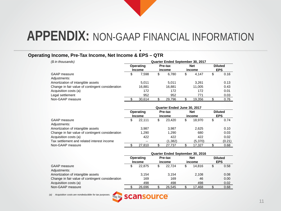#### **Operating Income, Pre-Tax Income, Net Income & EPS – QTR**

| (\$ in thousands)                                | Quarter Ended September 30, 2017 |                            |                   |        |                      |        |   |                              |  |  |
|--------------------------------------------------|----------------------------------|----------------------------|-------------------|--------|----------------------|--------|---|------------------------------|--|--|
|                                                  |                                  | Operating<br><b>Income</b> | Pre-tax<br>income |        | <b>Net</b><br>income |        |   | <b>Diluted</b><br><b>EPS</b> |  |  |
| <b>GAAP</b> measure                              | S                                | 7.598                      | S                 | 6.780  | \$                   | 4.147  | S | 0.16                         |  |  |
| Adjustments:                                     |                                  |                            |                   |        |                      |        |   |                              |  |  |
| Amortization of intangible assets                |                                  | 5.011                      |                   | 5.011  |                      | 3,261  |   | 0.13                         |  |  |
| Change in fair value of contingent consideration |                                  | 16.881                     |                   | 16.881 |                      | 11.005 |   | 0.43                         |  |  |
| Acquisition costs (a)                            |                                  | 172                        |                   | 172    |                      | 172    |   | 0.01                         |  |  |
| Legal settlement                                 |                                  | 952                        |                   | 952    |                      | 771    |   | 0.03                         |  |  |
| Non-GAAP measure                                 |                                  | 30.614                     |                   | 29.796 |                      | 19.356 |   | 0.76                         |  |  |

|                                                  | Quarter Ended June 30, 2017 |                            |    |                   |   |                      |    |                              |  |  |
|--------------------------------------------------|-----------------------------|----------------------------|----|-------------------|---|----------------------|----|------------------------------|--|--|
|                                                  |                             | Operating<br><b>Income</b> |    | Pre-tax<br>income |   | <b>Net</b><br>income |    | <b>Diluted</b><br><b>EPS</b> |  |  |
| <b>GAAP</b> measure                              |                             | 22.111                     | \$ | 23.420            | S | 18.970               | \$ | 0.74                         |  |  |
| Adjustments:                                     |                             |                            |    |                   |   |                      |    |                              |  |  |
| Amortization of intangible assets                |                             | 3.987                      |    | 3.987             |   | 2,625                |    | 0.10                         |  |  |
| Change in fair value of contingent consideration |                             | 1,290                      |    | 1,290             |   | 680                  |    | 0.03                         |  |  |
| Acquisition costs (a)                            |                             | 422                        |    | 422               |   | 422                  |    | 0.02                         |  |  |
| Tax settlement and related interest income       |                             | $- -$                      |    | (1,382)           |   | (5,370)              |    | (0.21)                       |  |  |
| Non-GAAP measure                                 |                             | 27.810                     |    | 27.737            |   | 17.327               |    | 0.68                         |  |  |

|                                                  | <b>Quarter Ended September 30, 2016</b> |                            |    |                   |   |                      |   |                              |  |  |
|--------------------------------------------------|-----------------------------------------|----------------------------|----|-------------------|---|----------------------|---|------------------------------|--|--|
|                                                  |                                         | Operating<br><b>Income</b> |    | Pre-tax<br>income |   | <b>Net</b><br>income |   | <b>Diluted</b><br><b>EPS</b> |  |  |
| <b>GAAP</b> measure                              |                                         | 22,875                     | \$ | 22.724            | S | 14.816               | S | 0.58                         |  |  |
| Adjustments:                                     |                                         |                            |    |                   |   |                      |   |                              |  |  |
| Amortization of intangible assets                |                                         | 3.154                      |    | 3.154             |   | 2.108                |   | 0.08                         |  |  |
| Change in fair value of contingent consideration |                                         | 169                        |    | 169               |   | 46                   |   | 0.00                         |  |  |
| Acquisition costs (a)                            |                                         | 498                        |    | 498               |   | 498                  |   | 0.02                         |  |  |
| Non-GAAP measure                                 |                                         | 26.696                     |    | 26.545            |   | 17,468               |   | 0.68                         |  |  |

*(a) Acquisition costs are nondeductible for tax purposes.*

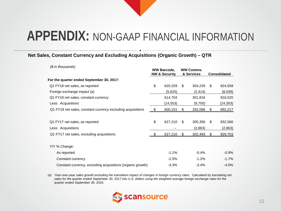#### **Net Sales, Constant Currency and Excluding Acquisitions (Organic Growth) – QTR**

| (\$ in thousands)                                           | <b>WW Barcode,</b><br><b>NW &amp; Security</b> |          | <b>WW Comms.</b><br>& Services |          | <b>Consolidated</b> |           |
|-------------------------------------------------------------|------------------------------------------------|----------|--------------------------------|----------|---------------------|-----------|
| For the quarter ended September 30, 2017:                   |                                                |          |                                |          |                     |           |
| Q1 FY18 net sales, as reported                              | \$                                             | 620,329  | \$                             | 304,230  | S                   | 924,559   |
| Foreign exchange impact (a)                                 |                                                | (5,625)  |                                | (2, 414) |                     | (8,039)   |
| Q1 FY18 net sales, constant currency                        |                                                | 614,704  |                                | 301,816  |                     | 916,520   |
| Less: Acquisitions                                          |                                                | (14,553) |                                | (9,750)  |                     | (24, 303) |
| Q1 FY18 net sales, constant currency excluding acquisitions |                                                | 600,151  | \$                             | 292,066  |                     | 892,217   |
|                                                             |                                                |          |                                |          |                     |           |
| Q1 FY17 net sales, as reported                              | \$                                             | 627,210  | \$                             | 305,356  | \$.                 | 932,566   |
| Less: Acquisitions                                          |                                                |          |                                | (2,863)  |                     | (2,863)   |
| Q1 FY17 net sales, excluding acquisitions                   |                                                | 627,210  | \$                             | 302,493  |                     | 929,703   |
|                                                             |                                                |          |                                |          |                     |           |
| Y/Y % Change:                                               |                                                |          |                                |          |                     |           |
| As reported                                                 |                                                | $-1.1%$  |                                | $-0.4%$  |                     | $-0.9%$   |
| Constant currency                                           |                                                | $-2.0%$  |                                | $-1.2%$  |                     | $-1.7%$   |
| Constant currency, excluding acquisitions (organic growth)  |                                                | $-4.3%$  |                                | $-3.4%$  |                     | $-4.0%$   |

*(a) Year-over-year sales growth excluding the translation impact of changes in foreign currency rates. Calculated by translating net sales for the quarter ended September 30, 2017 into U.S. dollars using the weighted average foreign exchange rates for the quarter ended September 30, 2016.*

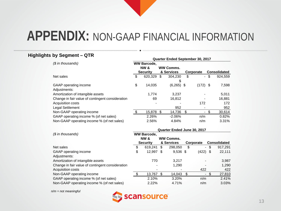#### **Highlights by Segment – QTR**

|                                                  | Quarter Ended September 30, 2017 |                                       |    |                  |    |            |      |                     |
|--------------------------------------------------|----------------------------------|---------------------------------------|----|------------------|----|------------|------|---------------------|
| (\$ in thousands)                                |                                  | <b>WW Barcode,</b><br><b>NW &amp;</b> |    | <b>WW Comms.</b> |    |            |      |                     |
|                                                  |                                  | Security                              |    | & Services       |    | Corporate  |      | <b>Consolidated</b> |
| Net sales                                        | \$                               | 620,329                               | \$ | 304,230          | \$ |            | - \$ | 924,559             |
|                                                  |                                  |                                       |    | \$               |    |            |      |                     |
| GAAP operating income                            | \$                               | 14,035                                |    | $(6,265)$ \$     |    | $(172)$ \$ |      | 7,598               |
| Adjustments:                                     |                                  |                                       |    |                  |    |            |      |                     |
| Amortization of intangible assets                |                                  | 1.774                                 |    | 3,237            |    |            |      | 5,011               |
| Change in fair value of contingent consideration |                                  | 69                                    |    | 16,812           |    |            |      | 16,881              |
| Acquisition costs                                |                                  |                                       |    |                  |    | 172        |      | 172                 |
| Legal Settlement                                 |                                  |                                       |    | 952              |    |            |      | 952                 |
| Non-GAAP operating income                        | -\$                              | 15,878                                | \$ | 14,736           | \$ |            |      | 30,614              |
| GAAP operating income % (of net sales)           |                                  | 2.26%                                 |    | $-2.06\%$        |    | n/m        |      | 0.82%               |
| Non-GAAP operating income % (of net sales)       |                                  | 2.56%                                 |    | 4.84%            |    | n/m        |      | 3.31%               |
|                                                  | Quarter Ended June 30, 2017      |                                       |    |                  |    |            |      |                     |
| (\$ in thousands)                                |                                  | <b>WW Barcode,</b>                    |    |                  |    |            |      |                     |

| <i>(ง แ) แบบนรands)</i>                          |                 | ww barcode, |            |                  |           |                          |                     |          |
|--------------------------------------------------|-----------------|-------------|------------|------------------|-----------|--------------------------|---------------------|----------|
|                                                  |                 | NW &        |            | <b>WW Comms.</b> |           |                          |                     |          |
|                                                  | <b>Security</b> |             | & Services |                  | Corporate |                          | <b>Consolidated</b> |          |
| Net sales                                        | \$              | 619,241     | \$         | 298,050          | \$        | $\overline{\phantom{0}}$ | \$                  | 917,291  |
| GAAP operating income                            | \$              | 12,997      | \$.        | $9,536$ \$       |           | $(422)$ \$               |                     | 22,111   |
| Adjustments:                                     |                 |             |            |                  |           |                          |                     |          |
| Amortization of intangible assets                |                 | 770         |            | 3.217            |           |                          |                     | 3,987    |
| Change in fair value of contingent consideration |                 |             |            | 1,290            |           |                          |                     | 1,290    |
| Acquisition costs                                |                 |             |            |                  |           | 422                      |                     | 422      |
| Non-GAAP operating income                        |                 | 13,767      |            | 14,043           |           |                          |                     | 27,810   |
| GAAP operating income % (of net sales)           |                 | 2.10%       |            | 3.20%            |           | n/m                      |                     | 2.41%    |
| Non-GAAP operating income % (of net sales)       |                 | 2.22%       |            | 4.71%            |           | n/m                      |                     | $3.03\%$ |

*n/m = not meaningful*

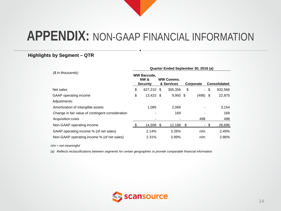#### **Highlights by Segment – QTR**

| (\$ in thousands)                                | Quarter Ended September 30, 2016 (a) |                                                          |     |                                |     |                  |     |                     |  |  |  |
|--------------------------------------------------|--------------------------------------|----------------------------------------------------------|-----|--------------------------------|-----|------------------|-----|---------------------|--|--|--|
|                                                  |                                      | <b>WW Barcode,</b><br><b>NW &amp;</b><br><b>Security</b> |     | <b>WW Comms.</b><br>& Services |     | <b>Corporate</b> |     | <b>Consolidated</b> |  |  |  |
| Net sales                                        | \$                                   | 627,210                                                  | -\$ | 305,356                        | \$  | $\sim$           | -\$ | 932,566             |  |  |  |
| GAAP operating income                            | \$                                   | $13,423$ \$                                              |     | $9,950$ \$                     |     | $(498)$ \$       |     | 22,875              |  |  |  |
| Adjustments:                                     |                                      |                                                          |     |                                |     |                  |     |                     |  |  |  |
| Amortization of intangible assets                |                                      | 1.085                                                    |     | 2.069                          |     |                  |     | 3,154               |  |  |  |
| Change in fair value of contingent consideration |                                      |                                                          |     | 169                            |     |                  |     | 169                 |  |  |  |
| Acquisition costs                                |                                      |                                                          |     |                                |     | 498              |     | 498                 |  |  |  |
| Non-GAAP operating income                        |                                      | 14,508 \$                                                |     | 12,188                         | \$. | ۰.               |     | 26,696              |  |  |  |
| GAAP operating income % (of net sales)           |                                      | 2.14%                                                    |     | 3.26%                          |     | n/m              |     | 2.45%               |  |  |  |
| Non-GAAP operating income % (of net sales)       |                                      | 2.31%                                                    |     | 3.99%                          |     | n/m              |     | 2.86%               |  |  |  |

*n/m = not meaningful*

*(a) Reflects reclassifications between segments for certain geographies to provide comparable financial information.*

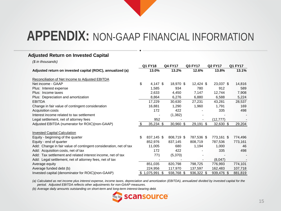#### **Adjusted Return on Invested Capital**

*(\$ in thousands)*

|                                                                   | Q1 FY18          |      | <b>Q4 FY17</b> | Q3 FY17     | <b>Q2 FY17</b> | Q1 FY17 |
|-------------------------------------------------------------------|------------------|------|----------------|-------------|----------------|---------|
| Adjusted return on invested capital (ROIC), annualized (a)        | 13.0%            |      | 13.2%          | 12.6%       | 13.8%          | 13.1%   |
| Reconciliation of Net Income to Adjusted EBITDA                   |                  |      |                |             |                |         |
| Net income - GAAP                                                 | \$<br>$4,147$ \$ |      | 18,970 \$      | $12,424$ \$ | 23,037 \$      | 14,816  |
| Plus: Interest expense                                            | 1,585            |      | 934            | 780         | 912            | 589     |
| Plus: Income taxes                                                | 2,633            |      | 4,450          | 7,147       | 12,744         | 7,908   |
| Plus: Depreciation and amortization                               | 8,864            |      | 6,276          | 6,880       | 6,588          | 5,224   |
| <b>EBITDA</b>                                                     | 17,229           |      | 30,630         | 27,231      | 43,281         | 28,537  |
| Change in fair value of contingent consideration                  | 16,881           |      | 1,290          | 1,960       | 1,791          | 169     |
| Acquisition costs                                                 | 172              |      | 422            |             | 335            | 498     |
| Interest income related to tax settlement                         |                  |      | (1, 382)       |             |                |         |
| Legal settlement, net of attorney fees                            | 952              |      |                |             | (12,777)       |         |
| Adjusted EBITDA (numerator for ROIC)(non-GAAP)                    | $35,234$ \$      |      | 30,960 \$      | 29,191 \$   | $32,630$ \$    | 29,204  |
| <b>Invested Capital Calculation</b>                               |                  |      |                |             |                |         |
| Equity - beginning of the quarter                                 | \$<br>837,145 \$ |      | 808,719 \$     | 787,536 \$  | 773,161 \$     | 774,496 |
| Equity - end of quarter                                           | 852,976          |      | 837,145        | 808,719     | 787,536        | 773,161 |
| Add: Change in fair value of contingent consideration, net of tax | 11,005           |      | 680            | 1,194       | 1,000          | 46      |
| Add: Acquisition costs, net of tax                                | 172              |      | 422            |             | 335            | 498     |
| Add: Tax settlement and related interest income, net of tax       | 771              |      | (5,370)        |             |                |         |
| Add: Legal settlement, net of attorney fees, net of tax           |                  |      |                |             | (8,047)        |         |
| Average equity                                                    | 851,035          |      | 820,798        | 798,725     | 776,993        | 774,101 |
| Average funded debt (b)                                           | 224,956          |      | 117,970        | 137,597     | 162,483        | 107,718 |
| Invested capital (denominator for ROIC)(non-GAAP)                 | 1,075,991        | - \$ | 938,768 \$     | 936,322 \$  | 939,476 \$     | 881,819 |

*(a) Calculated as net income plus interest expense, income taxes, depreciation and amortization (EBITDA), annualized divided by invested capital for the period. Adjusted EBITDA reflects other adjustments for non-GAAP measures.*

*(b) Average daily amounts outstanding on short-term and long-term interest-bearing debt.*